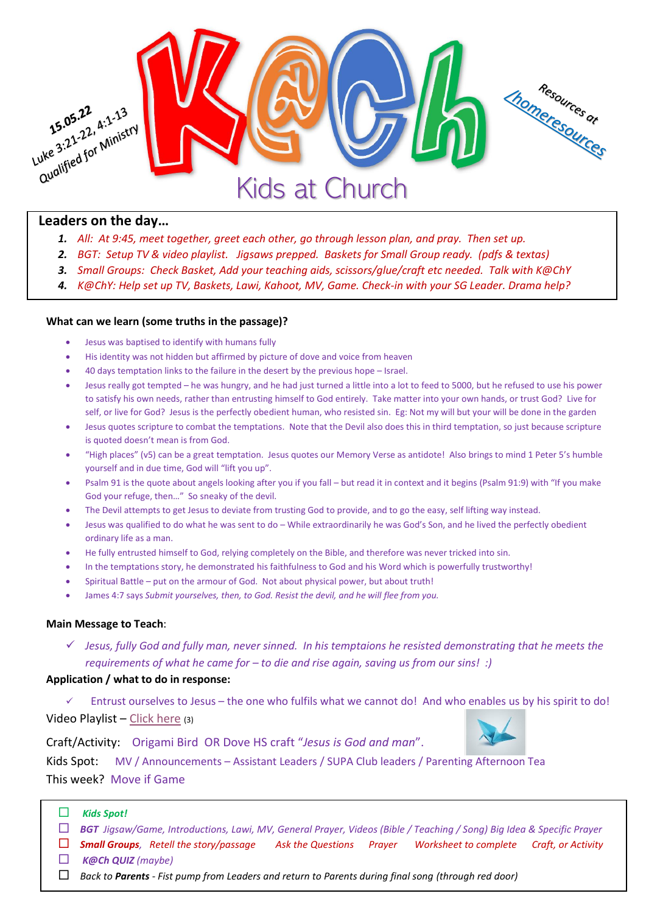

## **Leaders on the day…**

- *1. All: At 9:45, meet together, greet each other, go through lesson plan, and pray. Then set up.*
- *2. BGT: Setup TV & video playlist. Jigsaws prepped. Baskets for Small Group ready. (pdfs & textas)*
- *3. Small Groups: Check Basket, Add your teaching aids, scissors/glue/craft etc needed. Talk with K@ChY*
- *4. K@ChY: Help set up TV, Baskets, Lawi, Kahoot, MV, Game. Check-in with your SG Leader. Drama help?*

### **What can we learn (some truths in the passage)?**

- Jesus was baptised to identify with humans fully
- His identity was not hidden but affirmed by picture of dove and voice from heaven
- 40 days temptation links to the failure in the desert by the previous hope Israel.
- Jesus really got tempted he was hungry, and he had just turned a little into a lot to feed to 5000, but he refused to use his power to satisfy his own needs, rather than entrusting himself to God entirely. Take matter into your own hands, or trust God? Live for self, or live for God? Jesus is the perfectly obedient human, who resisted sin. Eg: Not my will but your will be done in the garden
- Jesus quotes scripture to combat the temptations. Note that the Devil also does this in third temptation, so just because scripture is quoted doesn't mean is from God.
- "High places" (v5) can be a great temptation. Jesus quotes our Memory Verse as antidote! Also brings to mind 1 Peter 5's humble yourself and in due time, God will "lift you up".
- Psalm 91 is the quote about angels looking after you if you fall but read it in context and it begins (Psalm 91:9) with "If you make God your refuge, then…" So sneaky of the devil.
- The Devil attempts to get Jesus to deviate from trusting God to provide, and to go the easy, self lifting way instead.
- Jesus was qualified to do what he was sent to do While extraordinarily he was God's Son, and he lived the perfectly obedient ordinary life as a man.
- He fully entrusted himself to God, relying completely on the Bible, and therefore was never tricked into sin.
- In the temptations story, he demonstrated his faithfulness to God and his Word which is powerfully trustworthy!
- Spiritual Battle put on the armour of God. Not about physical power, but about truth!
- James 4:7 says *Submit yourselves, then, to God. Resist the devil, and he will flee from you.*

#### **Main Message to Teach**:

✓ *Jesus, fully God and fully man, never sinned. In his temptaions he resisted demonstrating that he meets the requirements of what he came for – to die and rise again, saving us from our sins! :)*

#### **Application / what to do in response:**

Entrust ourselves to Jesus – the one who fulfils what we cannot do! And who enables us by his spirit to do!

Video Playlist – [Click here](https://youtube.com/playlist?list=PLY65Snh4GwmF63SYaHHFS_mexgtPY3-IC) (3)



Craft/Activity: Origami Bird OR Dove HS craft "*Jesus is God and man*".

Kids Spot: MV / Announcements – Assistant Leaders / SUPA Club leaders / Parenting Afternoon Tea This week? Move if Game

- *Kids Spot!*
- *BGT Jigsaw/Game, Introductions, Lawi, MV, General Prayer, Videos (Bible / Teaching / Song) Big Idea & Specific Prayer*
- *Small Groups, Retell the story/passage Ask the Questions Prayer Worksheet to complete Craft, or Activity*
- *K@Ch QUIZ (maybe)*
- *Back to Parents - Fist pump from Leaders and return to Parents during final song (through red door)*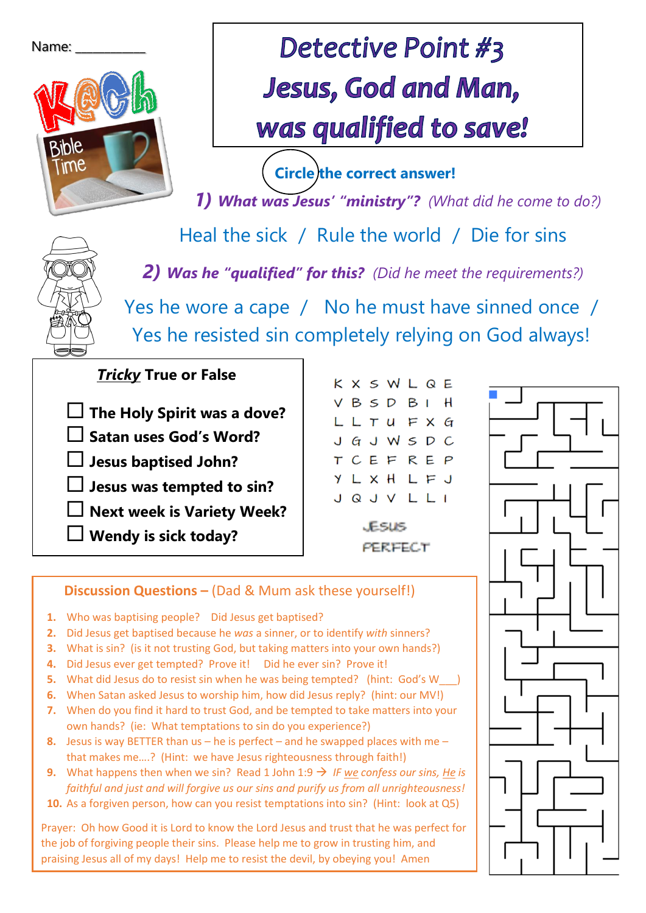## Name:



# Detective Point #3 **Jesus, God and Man,** was qualified to save!

**Circle the correct answer!**

*1) What was Jesus' "ministry"? (What did he come to do?)*

Heal the sick / Rule the world / Die for sins



*2) Was he "qualified" for this? (Did he meet the requirements?)* Yes he wore a cape / No he must have sinned once / Yes he resisted sin completely relying on God always!

# *Tricky* **True or False**

- **The Holy Spirit was a dove? Satan uses God's Word?**
- **Jesus baptised John?**
- **Jesus was tempted to sin?**
- **Next week is Variety Week?**
- **Wendy is sick today?**

|                         |  |  | KXSWLQE       |  |  |  |
|-------------------------|--|--|---------------|--|--|--|
|                         |  |  | V B S D B I H |  |  |  |
|                         |  |  | L L T U F X G |  |  |  |
|                         |  |  | J G J W S D C |  |  |  |
|                         |  |  | ΤСΕΡ ΚΕΡ      |  |  |  |
|                         |  |  | Y L X H L F J |  |  |  |
|                         |  |  | J Q J V L L I |  |  |  |
| <b>JESUS</b><br>PERFECT |  |  |               |  |  |  |

## **Discussion Questions –** (Dad & Mum ask these yourself!)

- **1.** Who was baptising people? Did Jesus get baptised?
- **2.** Did Jesus get baptised because he *was* a sinner, or to identify *with* sinners?
- **3.** What is sin? (is it not trusting God, but taking matters into your own hands?)
- **4.** Did Jesus ever get tempted? Prove it! Did he ever sin? Prove it!
- **5.** What did Jesus do to resist sin when he was being tempted? (hint: God's W\_\_\_)
- **6.** When Satan asked Jesus to worship him, how did Jesus reply? (hint: our MV!)
- **7.** When do you find it hard to trust God, and be tempted to take matters into your own hands? (ie: What temptations to sin do you experience?)
- **8.** Jesus is way BETTER than us he is perfect and he swapped places with me that makes me….? (Hint: we have Jesus righteousness through faith!)
- **9.** What happens then when we sin? Read 1 John 1:9  $\rightarrow$  *IF we confess our sins, He is faithful and just and will forgive us our sins and purify us from all unrighteousness!*
- **10.** As a forgiven person, how can you resist temptations into sin? (Hint: look at Q5)

Prayer: Oh how Good it is Lord to know the Lord Jesus and trust that he was perfect for the job of forgiving people their sins. Please help me to grow in trusting him, and praising Jesus all of my days! Help me to resist the devil, by obeying you! Amen

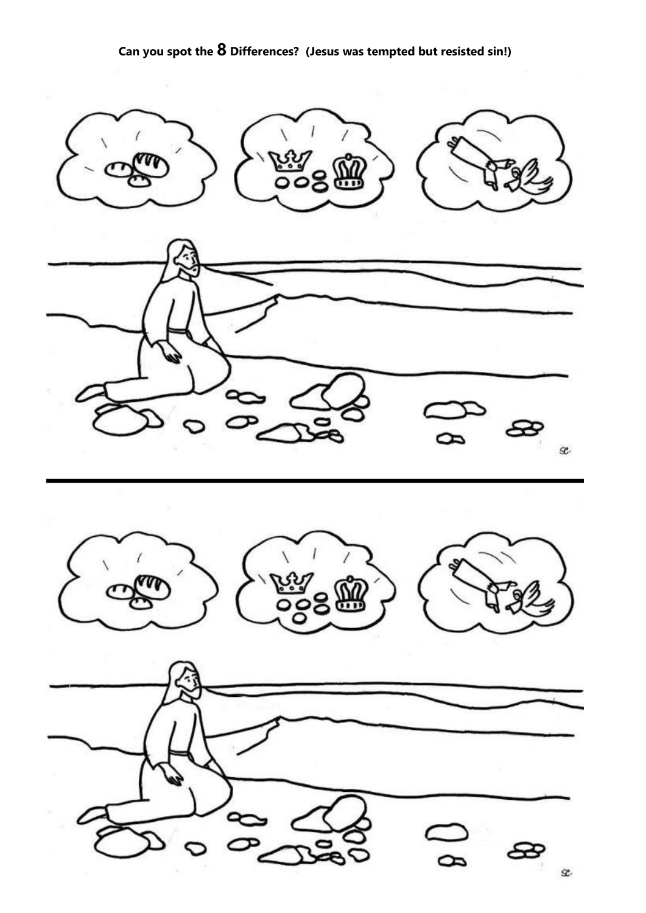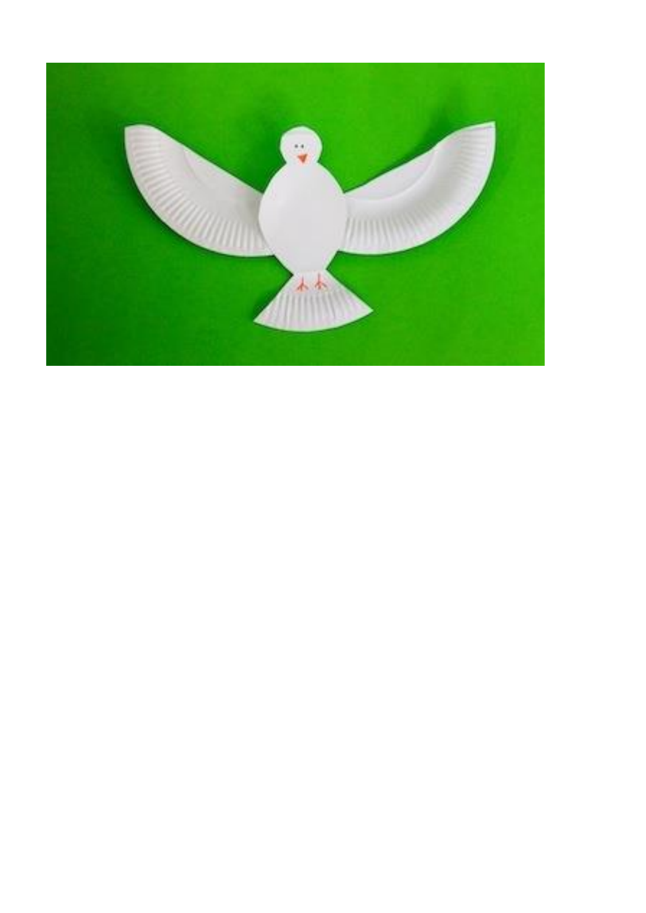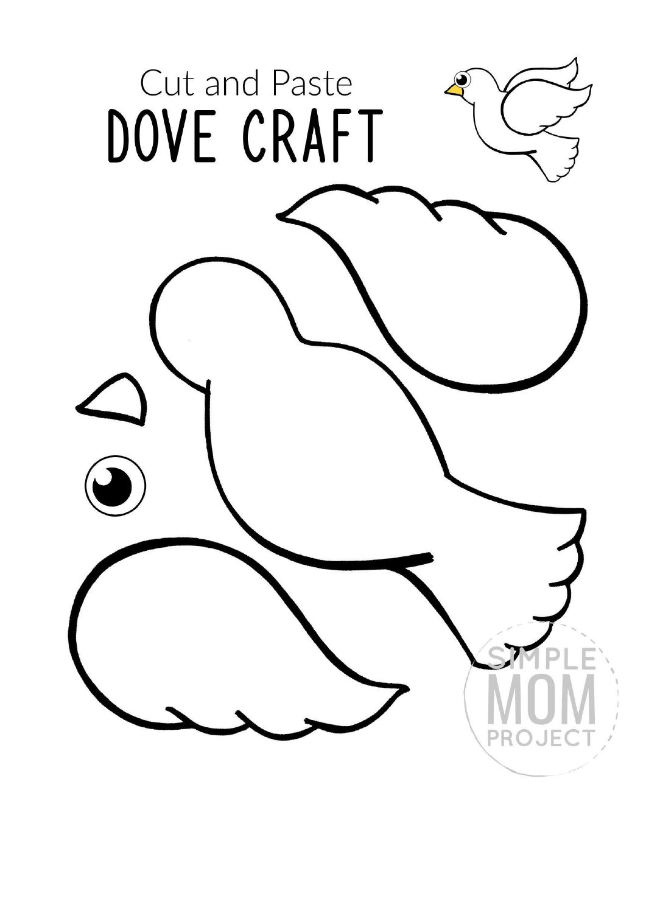